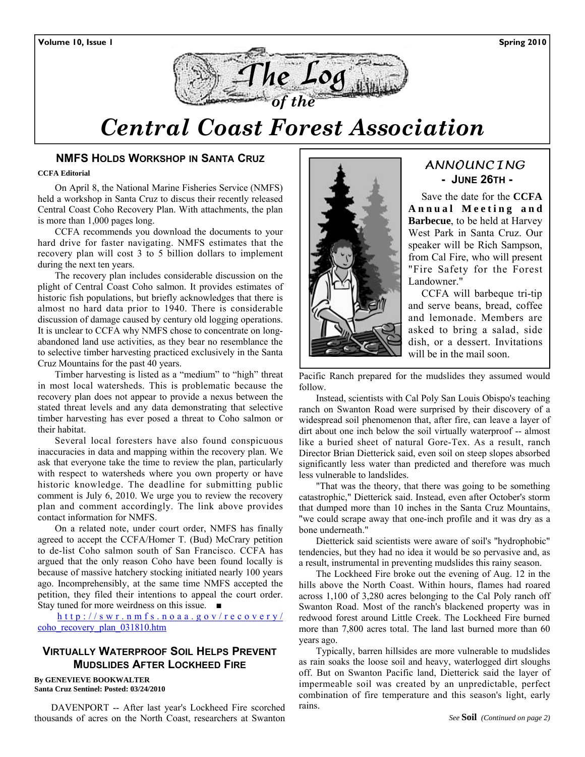

# *Central Coast Forest Association*

## **NMFS HOLDS WORKSHOP IN SANTA CRUZ**

#### **CCFA Editorial**

On April 8, the National Marine Fisheries Service (NMFS) held a workshop in Santa Cruz to discus their recently released Central Coast Coho Recovery Plan. With attachments, the plan is more than 1,000 pages long.

CCFA recommends you download the documents to your hard drive for faster navigating. NMFS estimates that the recovery plan will cost 3 to 5 billion dollars to implement during the next ten years.

The recovery plan includes considerable discussion on the plight of Central Coast Coho salmon. It provides estimates of historic fish populations, but briefly acknowledges that there is almost no hard data prior to 1940. There is considerable discussion of damage caused by century old logging operations. It is unclear to CCFA why NMFS chose to concentrate on longabandoned land use activities, as they bear no resemblance the to selective timber harvesting practiced exclusively in the Santa Cruz Mountains for the past 40 years.

Timber harvesting is listed as a "medium" to "high" threat in most local watersheds. This is problematic because the recovery plan does not appear to provide a nexus between the stated threat levels and any data demonstrating that selective timber harvesting has ever posed a threat to Coho salmon or their habitat.

Several local foresters have also found conspicuous inaccuracies in data and mapping within the recovery plan. We ask that everyone take the time to review the plan, particularly with respect to watersheds where you own property or have historic knowledge. The deadline for submitting public comment is July 6, 2010. We urge you to review the recovery plan and comment accordingly. The link above provides contact information for NMFS.

On a related note, under court order, NMFS has finally agreed to accept the CCFA/Homer T. (Bud) McCrary petition to de-list Coho salmon south of San Francisco. CCFA has argued that the only reason Coho have been found locally is because of massive hatchery stocking initiated nearly 100 years ago. Incomprehensibly, at the same time NMFS accepted the petition, they filed their intentions to appeal the court order. Stay tuned for more weirdness on this issue. ■

http://swr.nmfs.noaa.gov/recovery/ coho\_recovery\_plan\_031810.htm

# **VIRTUALLY WATERPROOF SOIL HELPS PREVENT MUDSLIDES AFTER LOCKHEED FIRE**

**By GENEVIEVE BOOKWALTER Santa Cruz Sentinel: Posted: 03/24/2010** 

DAVENPORT -- After last year's Lockheed Fire scorched thousands of acres on the North Coast, researchers at Swanton



# ANNOUNCING  **- JUNE 26TH -**

 Save the date for the **CCFA A n n u a l M e e t i n g a n d Barbecue**, to be held at Harvey West Park in Santa Cruz. Our speaker will be Rich Sampson, from Cal Fire, who will present "Fire Safety for the Forest Landowner."

 CCFA will barbeque tri-tip and serve beans, bread, coffee and lemonade. Members are asked to bring a salad, side dish, or a dessert. Invitations will be in the mail soon.

Pacific Ranch prepared for the mudslides they assumed would follow.

Instead, scientists with Cal Poly San Louis Obispo's teaching ranch on Swanton Road were surprised by their discovery of a widespread soil phenomenon that, after fire, can leave a layer of dirt about one inch below the soil virtually waterproof -- almost like a buried sheet of natural Gore-Tex. As a result, ranch Director Brian Dietterick said, even soil on steep slopes absorbed significantly less water than predicted and therefore was much less vulnerable to landslides.

"That was the theory, that there was going to be something catastrophic," Dietterick said. Instead, even after October's storm that dumped more than 10 inches in the Santa Cruz Mountains, "we could scrape away that one-inch profile and it was dry as a bone underneath."

Dietterick said scientists were aware of soil's "hydrophobic" tendencies, but they had no idea it would be so pervasive and, as a result, instrumental in preventing mudslides this rainy season.

The Lockheed Fire broke out the evening of Aug. 12 in the hills above the North Coast. Within hours, flames had roared across 1,100 of 3,280 acres belonging to the Cal Poly ranch off Swanton Road. Most of the ranch's blackened property was in redwood forest around Little Creek. The Lockheed Fire burned more than 7,800 acres total. The land last burned more than 60 years ago.

Typically, barren hillsides are more vulnerable to mudslides as rain soaks the loose soil and heavy, waterlogged dirt sloughs off. But on Swanton Pacific land, Dietterick said the layer of impermeable soil was created by an unpredictable, perfect combination of fire temperature and this season's light, early rains.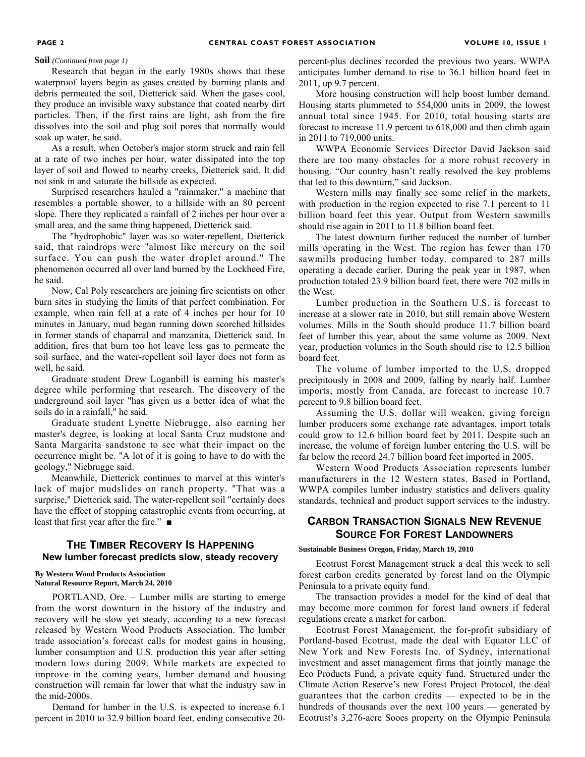#### **Soil** *(Continued from page 1)*

Research that began in the early 1980s shows that these waterproof layers begin as gases created by burning plants and debris permeated the soil, Dietterick said. When the gases cool, they produce an invisible waxy substance that coated nearby dirt particles. Then, if the first rains are light, ash from the fire dissolves into the soil and plug soil pores that normally would soak up water, he said.

As a result, when October's major storm struck and rain fell at a rate of two inches per hour, water dissipated into the top layer of soil and flowed to nearby creeks, Dietterick said. It did not sink in and saturate the hillside as expected.

Surprised researchers hauled a "rainmaker," a machine that resembles a portable shower, to a hillside with an 80 percent slope. There they replicated a rainfall of 2 inches per hour over a small area, and the same thing happened, Dietterick said.

The "hydrophobic" layer was so water-repellent, Dietterick said, that raindrops were "almost like mercury on the soil surface. You can push the water droplet around." The phenomenon occurred all over land burned by the Lockheed Fire, he said.

Now, Cal Poly researchers are joining fire scientists on other burn sites in studying the limits of that perfect combination. For example, when rain fell at a rate of 4 inches per hour for 10 minutes in January, mud began running down scorched hillsides in former stands of chaparral and manzanita, Dietterick said. In addition, fires that burn too hot leave less gas to permeate the soil surface, and the water-repellent soil layer does not form as well, he said.

Graduate student Drew Loganbill is earning his master's degree while performing that research. The discovery of the underground soil layer "has given us a better idea of what the soils do in a rainfall," he said.

Graduate student Lynette Niebrugge, also earning her master's degree, is looking at local Santa Cruz mudstone and Santa Margarita sandstone to see what their impact on the occurrence might be. "A lot of it is going to have to do with the geology," Niebrugge said.

Meanwhile, Dietterick continues to marvel at this winter's lack of major mudslides on ranch property. "That was a surprise," Dietterick said. The water-repellent soil "certainly does have the effect of stopping catastrophic events from occurring, at least that first year after the fire." ■

# **THE TIMBER RECOVERY IS HAPPENING New lumber forecast predicts slow, steady recovery**

#### **By Western Wood Products Association Natural Resource Report, March 24, 2010**

PORTLAND, Ore. – Lumber mills are starting to emerge from the worst downturn in the history of the industry and recovery will be slow yet steady, according to a new forecast released by Western Wood Products Association. The lumber trade association's forecast calls for modest gains in housing, lumber consumption and U.S. production this year after setting modern lows during 2009. While markets are expected to improve in the coming years, lumber demand and housing construction will remain far lower that what the industry saw in the mid-2000s.

Demand for lumber in the U.S. is expected to increase 6.1 percent in 2010 to 32.9 billion board feet, ending consecutive 20percent-plus declines recorded the previous two years. WWPA anticipates lumber demand to rise to 36.1 billion board feet in 2011, up 9.7 percent.

More housing construction will help boost lumber demand. Housing starts plummeted to 554,000 units in 2009, the lowest annual total since 1945. For 2010, total housing starts are forecast to increase 11.9 percent to 618,000 and then climb again in 2011 to 719,000 units.

WWPA Economic Services Director David Jackson said there are too many obstacles for a more robust recovery in housing. "Our country hasn't really resolved the key problems that led to this downturn," said Jackson.

Western mills may finally see some relief in the markets, with production in the region expected to rise 7.1 percent to 11 billion board feet this year. Output from Western sawmills should rise again in 2011 to 11.8 billion board feet.

The latest downturn further reduced the number of lumber mills operating in the West. The region has fewer than 170 sawmills producing lumber today, compared to 287 mills operating a decade earlier. During the peak year in 1987, when production totaled 23.9 billion board feet, there were 702 mills in the West.

Lumber production in the Southern U.S. is forecast to increase at a slower rate in 2010, but still remain above Western volumes. Mills in the South should produce 11.7 billion board feet of lumber this year, about the same volume as 2009. Next year, production volumes in the South should rise to 12.5 billion board feet.

The volume of lumber imported to the U.S. dropped precipitously in 2008 and 2009, falling by nearly half. Lumber imports, mostly from Canada, are forecast to increase 10.7 percent to 9.8 billion board feet.

Assuming the U.S. dollar will weaken, giving foreign lumber producers some exchange rate advantages, import totals could grow to 12.6 billion board feet by 2011. Despite such an increase, the volume of foreign lumber entering the U.S. will be far below the record 24.7 billion board feet imported in 2005.

Western Wood Products Association represents lumber manufacturers in the 12 Western states. Based in Portland, WWPA compiles lumber industry statistics and delivers quality standards, technical and product support services to the industry.

# **CARBON TRANSACTION SIGNALS NEW REVENUE SOURCE FOR FOREST LANDOWNERS**

**Sustainable Business Oregon, Friday, March 19, 2010** 

Ecotrust Forest Management struck a deal this week to sell forest carbon credits generated by forest land on the Olympic Peninsula to a private equity fund.

The transaction provides a model for the kind of deal that may become more common for forest land owners if federal regulations create a market for carbon.

Ecotrust Forest Management, the for-profit subsidiary of Portland-based Ecotrust, made the deal with Equator LLC of New York and New Forests Inc. of Sydney, international investment and asset management firms that jointly manage the Eco Products Fund, a private equity fund. Structured under the Climate Action Reserve's new Forest Project Protocol, the deal guarantees that the carbon credits — expected to be in the hundreds of thousands over the next 100 years — generated by Ecotrust's 3,276-acre Sooes property on the Olympic Peninsula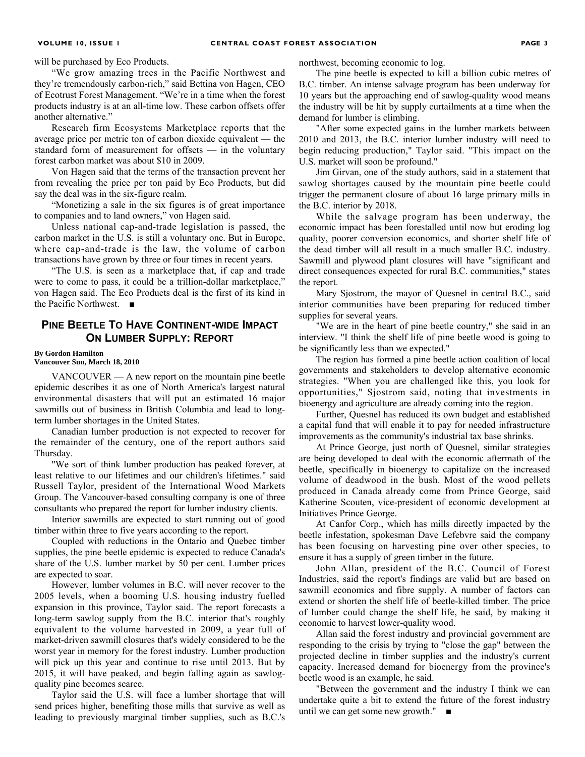will be purchased by Eco Products.

"We grow amazing trees in the Pacific Northwest and they're tremendously carbon-rich," said Bettina von Hagen, CEO of Ecotrust Forest Management. "We're in a time when the forest products industry is at an all-time low. These carbon offsets offer another alternative."

Research firm Ecosystems Marketplace reports that the average price per metric ton of carbon dioxide equivalent — the standard form of measurement for offsets — in the voluntary forest carbon market was about \$10 in 2009.

Von Hagen said that the terms of the transaction prevent her from revealing the price per ton paid by Eco Products, but did say the deal was in the six-figure realm.

"Monetizing a sale in the six figures is of great importance to companies and to land owners," von Hagen said.

Unless national cap-and-trade legislation is passed, the carbon market in the U.S. is still a voluntary one. But in Europe, where cap-and-trade is the law, the volume of carbon transactions have grown by three or four times in recent years.

"The U.S. is seen as a marketplace that, if cap and trade were to come to pass, it could be a trillion-dollar marketplace," von Hagen said. The Eco Products deal is the first of its kind in the Pacific Northwest. ■

# **PINE BEETLE TO HAVE CONTINENT-WIDE IMPACT ON LUMBER SUPPLY: REPORT**

#### **By Gordon Hamilton**

**Vancouver Sun, March 18, 2010** 

VANCOUVER — A new report on the mountain pine beetle epidemic describes it as one of North America's largest natural environmental disasters that will put an estimated 16 major sawmills out of business in British Columbia and lead to longterm lumber shortages in the United States.

Canadian lumber production is not expected to recover for the remainder of the century, one of the report authors said Thursday.

"We sort of think lumber production has peaked forever, at least relative to our lifetimes and our children's lifetimes." said Russell Taylor, president of the International Wood Markets Group. The Vancouver-based consulting company is one of three consultants who prepared the report for lumber industry clients.

Interior sawmills are expected to start running out of good timber within three to five years according to the report.

Coupled with reductions in the Ontario and Quebec timber supplies, the pine beetle epidemic is expected to reduce Canada's share of the U.S. lumber market by 50 per cent. Lumber prices are expected to soar.

However, lumber volumes in B.C. will never recover to the 2005 levels, when a booming U.S. housing industry fuelled expansion in this province, Taylor said. The report forecasts a long-term sawlog supply from the B.C. interior that's roughly equivalent to the volume harvested in 2009, a year full of market-driven sawmill closures that's widely considered to be the worst year in memory for the forest industry. Lumber production will pick up this year and continue to rise until 2013. But by 2015, it will have peaked, and begin falling again as sawlogquality pine becomes scarce.

Taylor said the U.S. will face a lumber shortage that will send prices higher, benefiting those mills that survive as well as leading to previously marginal timber supplies, such as B.C.'s

northwest, becoming economic to log.

The pine beetle is expected to kill a billion cubic metres of B.C. timber. An intense salvage program has been underway for 10 years but the approaching end of sawlog-quality wood means the industry will be hit by supply curtailments at a time when the demand for lumber is climbing.

"After some expected gains in the lumber markets between 2010 and 2013, the B.C. interior lumber industry will need to begin reducing production," Taylor said. "This impact on the U.S. market will soon be profound."

Jim Girvan, one of the study authors, said in a statement that sawlog shortages caused by the mountain pine beetle could trigger the permanent closure of about 16 large primary mills in the B.C. interior by 2018.

While the salvage program has been underway, the economic impact has been forestalled until now but eroding log quality, poorer conversion economics, and shorter shelf life of the dead timber will all result in a much smaller B.C. industry. Sawmill and plywood plant closures will have "significant and direct consequences expected for rural B.C. communities," states the report.

Mary Sjostrom, the mayor of Quesnel in central B.C., said interior communities have been preparing for reduced timber supplies for several years.

"We are in the heart of pine beetle country," she said in an interview. "I think the shelf life of pine beetle wood is going to be significantly less than we expected."

The region has formed a pine beetle action coalition of local governments and stakeholders to develop alternative economic strategies. "When you are challenged like this, you look for opportunities," Sjostrom said, noting that investments in bioenergy and agriculture are already coming into the region.

Further, Quesnel has reduced its own budget and established a capital fund that will enable it to pay for needed infrastructure improvements as the community's industrial tax base shrinks.

At Prince George, just north of Quesnel, similar strategies are being developed to deal with the economic aftermath of the beetle, specifically in bioenergy to capitalize on the increased volume of deadwood in the bush. Most of the wood pellets produced in Canada already come from Prince George, said Katherine Scouten, vice-president of economic development at Initiatives Prince George.

At Canfor Corp., which has mills directly impacted by the beetle infestation, spokesman Dave Lefebvre said the company has been focusing on harvesting pine over other species, to ensure it has a supply of green timber in the future.

John Allan, president of the B.C. Council of Forest Industries, said the report's findings are valid but are based on sawmill economics and fibre supply. A number of factors can extend or shorten the shelf life of beetle-killed timber. The price of lumber could change the shelf life, he said, by making it economic to harvest lower-quality wood.

Allan said the forest industry and provincial government are responding to the crisis by trying to "close the gap" between the projected decline in timber supplies and the industry's current capacity. Increased demand for bioenergy from the province's beetle wood is an example, he said.

"Between the government and the industry I think we can undertake quite a bit to extend the future of the forest industry until we can get some new growth."  $\blacksquare$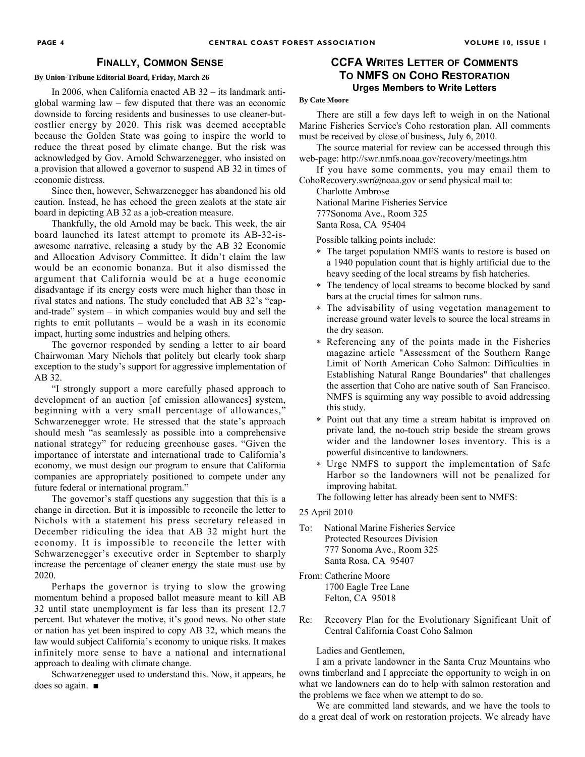### **FINALLY, COMMON SENSE**

#### **By Union-Tribune Editorial Board, Friday, March 26**

In 2006, when California enacted AB 32 – its landmark antiglobal warming law – few disputed that there was an economic downside to forcing residents and businesses to use cleaner-butcostlier energy by 2020. This risk was deemed acceptable because the Golden State was going to inspire the world to reduce the threat posed by climate change. But the risk was acknowledged by Gov. Arnold Schwarzenegger, who insisted on a provision that allowed a governor to suspend AB 32 in times of economic distress.

Since then, however, Schwarzenegger has abandoned his old caution. Instead, he has echoed the green zealots at the state air board in depicting AB 32 as a job-creation measure.

Thankfully, the old Arnold may be back. This week, the air board launched its latest attempt to promote its AB-32-isawesome narrative, releasing a study by the AB 32 Economic and Allocation Advisory Committee. It didn't claim the law would be an economic bonanza. But it also dismissed the argument that California would be at a huge economic disadvantage if its energy costs were much higher than those in rival states and nations. The study concluded that AB 32's "capand-trade" system – in which companies would buy and sell the rights to emit pollutants – would be a wash in its economic impact, hurting some industries and helping others.

The governor responded by sending a letter to air board Chairwoman Mary Nichols that politely but clearly took sharp exception to the study's support for aggressive implementation of AB 32.

"I strongly support a more carefully phased approach to development of an auction [of emission allowances] system, beginning with a very small percentage of allowances," Schwarzenegger wrote. He stressed that the state's approach should mesh "as seamlessly as possible into a comprehensive national strategy" for reducing greenhouse gases. "Given the importance of interstate and international trade to California's economy, we must design our program to ensure that California companies are appropriately positioned to compete under any future federal or international program."

The governor's staff questions any suggestion that this is a change in direction. But it is impossible to reconcile the letter to Nichols with a statement his press secretary released in December ridiculing the idea that AB 32 might hurt the economy. It is impossible to reconcile the letter with Schwarzenegger's executive order in September to sharply increase the percentage of cleaner energy the state must use by 2020.

Perhaps the governor is trying to slow the growing momentum behind a proposed ballot measure meant to kill AB 32 until state unemployment is far less than its present 12.7 percent. But whatever the motive, it's good news. No other state or nation has yet been inspired to copy AB 32, which means the law would subject California's economy to unique risks. It makes infinitely more sense to have a national and international approach to dealing with climate change.

Schwarzenegger used to understand this. Now, it appears, he does so again. ■

# **CCFA WRITES LETTER OF COMMENTS TO NMFS ON COHO RESTORATION Urges Members to Write Letters**

#### **By Cate Moore**

There are still a few days left to weigh in on the National Marine Fisheries Service's Coho restoration plan. All comments must be received by close of business, July 6, 2010.

The source material for review can be accessed through this web-page: http://swr.nmfs.noaa.gov/recovery/meetings.htm

If you have some comments, you may email them to CohoRecovery.swr@noaa.gov or send physical mail to:

Charlotte Ambrose National Marine Fisheries Service 777Sonoma Ave., Room 325 Santa Rosa, CA 95404

Possible talking points include:

- ∗ The target population NMFS wants to restore is based on a 1940 population count that is highly artificial due to the heavy seeding of the local streams by fish hatcheries.
- ∗ The tendency of local streams to become blocked by sand bars at the crucial times for salmon runs.
- ∗ The advisability of using vegetation management to increase ground water levels to source the local streams in the dry season.
- ∗ Referencing any of the points made in the Fisheries magazine article "Assessment of the Southern Range Limit of North American Coho Salmon: Difficulties in Establishing Natural Range Boundaries" that challenges the assertion that Coho are native south of San Francisco. NMFS is squirming any way possible to avoid addressing this study.
- ∗ Point out that any time a stream habitat is improved on private land, the no-touch strip beside the stream grows wider and the landowner loses inventory. This is a powerful disincentive to landowners.
- ∗ Urge NMFS to support the implementation of Safe Harbor so the landowners will not be penalized for improving habitat.

The following letter has already been sent to NMFS:

#### 25 April 2010

- To: National Marine Fisheries Service Protected Resources Division 777 Sonoma Ave., Room 325 Santa Rosa, CA 95407
- From: Catherine Moore 1700 Eagle Tree Lane Felton, CA 95018
- Re: Recovery Plan for the Evolutionary Significant Unit of Central California Coast Coho Salmon

Ladies and Gentlemen,

I am a private landowner in the Santa Cruz Mountains who owns timberland and I appreciate the opportunity to weigh in on what we landowners can do to help with salmon restoration and the problems we face when we attempt to do so.

We are committed land stewards, and we have the tools to do a great deal of work on restoration projects. We already have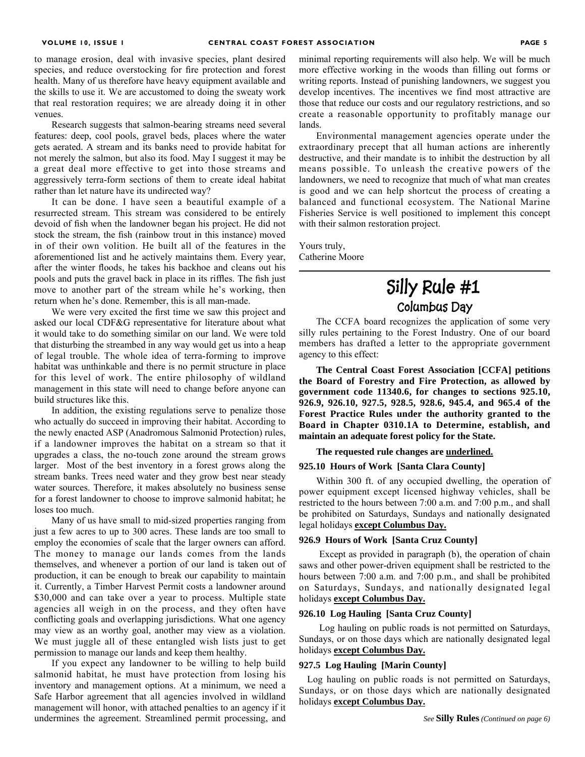to manage erosion, deal with invasive species, plant desired species, and reduce overstocking for fire protection and forest health. Many of us therefore have heavy equipment available and the skills to use it. We are accustomed to doing the sweaty work that real restoration requires; we are already doing it in other venues.

Research suggests that salmon-bearing streams need several features: deep, cool pools, gravel beds, places where the water gets aerated. A stream and its banks need to provide habitat for not merely the salmon, but also its food. May I suggest it may be a great deal more effective to get into those streams and aggressively terra-form sections of them to create ideal habitat rather than let nature have its undirected way?

It can be done. I have seen a beautiful example of a resurrected stream. This stream was considered to be entirely devoid of fish when the landowner began his project. He did not stock the stream, the fish (rainbow trout in this instance) moved in of their own volition. He built all of the features in the aforementioned list and he actively maintains them. Every year, after the winter floods, he takes his backhoe and cleans out his pools and puts the gravel back in place in its riffles. The fish just move to another part of the stream while he's working, then return when he's done. Remember, this is all man-made.

We were very excited the first time we saw this project and asked our local CDF&G representative for literature about what it would take to do something similar on our land. We were told that disturbing the streambed in any way would get us into a heap of legal trouble. The whole idea of terra-forming to improve habitat was unthinkable and there is no permit structure in place for this level of work. The entire philosophy of wildland management in this state will need to change before anyone can build structures like this.

In addition, the existing regulations serve to penalize those who actually do succeed in improving their habitat. According to the newly enacted ASP (Anadromous Salmonid Protection) rules, if a landowner improves the habitat on a stream so that it upgrades a class, the no-touch zone around the stream grows larger. Most of the best inventory in a forest grows along the stream banks. Trees need water and they grow best near steady water sources. Therefore, it makes absolutely no business sense for a forest landowner to choose to improve salmonid habitat; he loses too much.

Many of us have small to mid-sized properties ranging from just a few acres to up to 300 acres. These lands are too small to employ the economies of scale that the larger owners can afford. The money to manage our lands comes from the lands themselves, and whenever a portion of our land is taken out of production, it can be enough to break our capability to maintain it. Currently, a Timber Harvest Permit costs a landowner around \$30,000 and can take over a year to process. Multiple state agencies all weigh in on the process, and they often have conflicting goals and overlapping jurisdictions. What one agency may view as an worthy goal, another may view as a violation. We must juggle all of these entangled wish lists just to get permission to manage our lands and keep them healthy.

If you expect any landowner to be willing to help build salmonid habitat, he must have protection from losing his inventory and management options. At a minimum, we need a Safe Harbor agreement that all agencies involved in wildland management will honor, with attached penalties to an agency if it undermines the agreement. Streamlined permit processing, and minimal reporting requirements will also help. We will be much more effective working in the woods than filling out forms or writing reports. Instead of punishing landowners, we suggest you develop incentives. The incentives we find most attractive are those that reduce our costs and our regulatory restrictions, and so create a reasonable opportunity to profitably manage our lands.

Environmental management agencies operate under the extraordinary precept that all human actions are inherently destructive, and their mandate is to inhibit the destruction by all means possible. To unleash the creative powers of the landowners, we need to recognize that much of what man creates is good and we can help shortcut the process of creating a balanced and functional ecosystem. The National Marine Fisheries Service is well positioned to implement this concept with their salmon restoration project.

Yours truly, Catherine Moore

# **Silly Rule #1 Columbus Day**

The CCFA board recognizes the application of some very silly rules pertaining to the Forest Industry. One of our board members has drafted a letter to the appropriate government agency to this effect:

**The Central Coast Forest Association [CCFA] petitions the Board of Forestry and Fire Protection, as allowed by government code 11340.6, for changes to sections 925.10, 926.9, 926.10, 927.5, 928.5, 928.6, 945.4, and 965.4 of the Forest Practice Rules under the authority granted to the Board in Chapter 0310.1A to Determine, establish, and maintain an adequate forest policy for the State.**

**The requested rule changes are underlined.**

#### **925.10 Hours of Work [Santa Clara County]**

Within 300 ft. of any occupied dwelling, the operation of power equipment except licensed highway vehicles, shall be restricted to the hours between 7:00 a.m. and 7:00 p.m., and shall be prohibited on Saturdays, Sundays and nationally designated legal holidays **except Columbus Day.**

#### **926.9 Hours of Work [Santa Cruz County]**

 Except as provided in paragraph (b), the operation of chain saws and other power-driven equipment shall be restricted to the hours between 7:00 a.m. and 7:00 p.m., and shall be prohibited on Saturdays, Sundays, and nationally designated legal holidays **except Columbus Day.**

#### **926.10 Log Hauling [Santa Cruz County]**

 Log hauling on public roads is not permitted on Saturdays, Sundays, or on those days which are nationally designated legal holidays **except Columbus Day.**

#### **927.5 Log Hauling [Marin County]**

 Log hauling on public roads is not permitted on Saturdays, Sundays, or on those days which are nationally designated holidays **except Columbus Day.**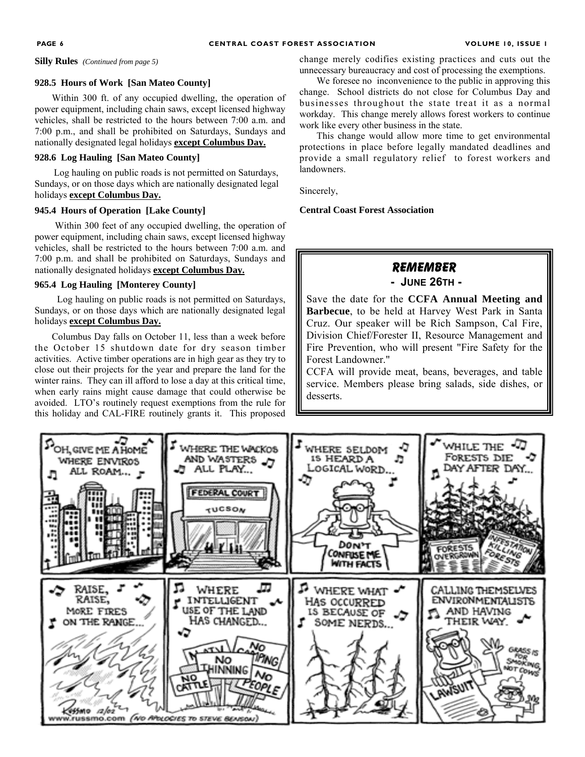**Silly Rules** *(Continued from page 5)* 

#### **928.5 Hours of Work [San Mateo County]**

Within 300 ft. of any occupied dwelling, the operation of power equipment, including chain saws, except licensed highway vehicles, shall be restricted to the hours between 7:00 a.m. and 7:00 p.m., and shall be prohibited on Saturdays, Sundays and nationally designated legal holidays **except Columbus Day.**

#### **928.6 Log Hauling [San Mateo County]**

 Log hauling on public roads is not permitted on Saturdays, Sundays, or on those days which are nationally designated legal holidays **except Columbus Day.**

### **945.4 Hours of Operation [Lake County]**

 Within 300 feet of any occupied dwelling, the operation of power equipment, including chain saws, except licensed highway vehicles, shall be restricted to the hours between 7:00 a.m. and 7:00 p.m. and shall be prohibited on Saturdays, Sundays and nationally designated holidays **except Columbus Day.**

#### **965.4 Log Hauling [Monterey County]**

 Log hauling on public roads is not permitted on Saturdays, Sundays, or on those days which are nationally designated legal holidays **except Columbus Day.**

Columbus Day falls on October 11, less than a week before the October 15 shutdown date for dry season timber activities. Active timber operations are in high gear as they try to close out their projects for the year and prepare the land for the winter rains. They can ill afford to lose a day at this critical time, when early rains might cause damage that could otherwise be avoided. LTO's routinely request exemptions from the rule for this holiday and CAL-FIRE routinely grants it. This proposed change merely codifies existing practices and cuts out the unnecessary bureaucracy and cost of processing the exemptions.

We foresee no inconvenience to the public in approving this change. School districts do not close for Columbus Day and businesses throughout the state treat it as a normal workday. This change merely allows forest workers to continue work like every other business in the state.

This change would allow more time to get environmental protections in place before legally mandated deadlines and provide a small regulatory relief to forest workers and landowners.

Sincerely,

#### **Central Coast Forest Association**

# **REMEMBER**

 **- JUNE 26TH -** 

Save the date for the **CCFA Annual Meeting and Barbecue**, to be held at Harvey West Park in Santa Cruz. Our speaker will be Rich Sampson, Cal Fire, Division Chief/Forester II, Resource Management and Fire Prevention, who will present "Fire Safety for the Forest Landowner."

CCFA will provide meat, beans, beverages, and table service. Members please bring salads, side dishes, or desserts.

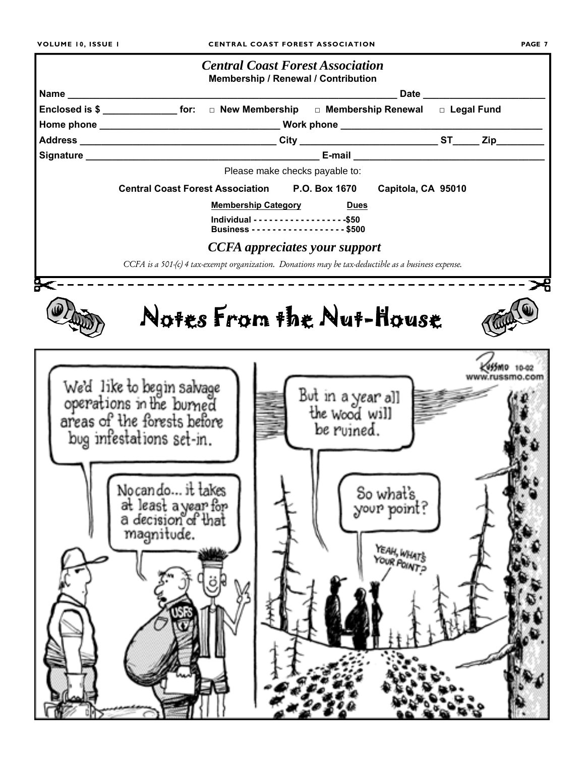